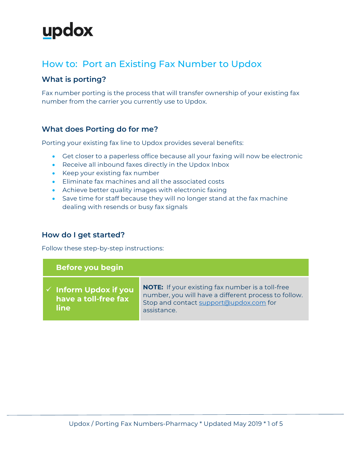### How to: Port an Existing Fax Number to Updox

#### **What is porting?**

Fax number porting is the process that will transfer ownership of your existing fax number from the carrier you currently use to Updox.

### **What does Porting do for me?**

Porting your existing fax line to Updox provides several benefits:

- Get closer to a paperless office because all your faxing will now be electronic
- Receive all inbound faxes directly in the Updox Inbox
- Keep your existing fax number
- Eliminate fax machines and all the associated costs
- Achieve better quality images with electronic faxing
- Save time for staff because they will no longer stand at the fax machine dealing with resends or busy fax signals

#### **How do I get started?**

Follow these step-by-step instructions:

| Before you begin                                                 |                                                                                                                                                                          |
|------------------------------------------------------------------|--------------------------------------------------------------------------------------------------------------------------------------------------------------------------|
| $\checkmark$ Inform Updox if you<br>have a toll-free fax<br>line | <b>NOTE:</b> If your existing fax number is a toll-free<br>number, you will have a different process to follow.<br>Stop and contact support@updox.com for<br>assistance. |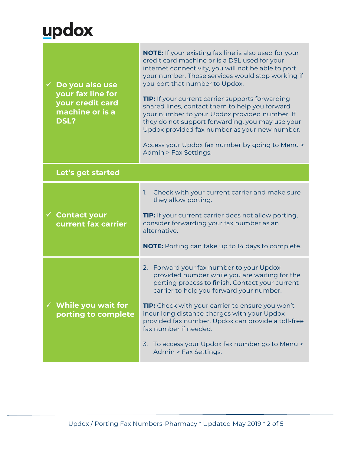| $\checkmark$ Do you also use<br>your fax line for<br>your credit card<br>machine or is a<br><b>DSL?</b> | <b>NOTE:</b> If your existing fax line is also used for your<br>credit card machine or is a DSL used for your<br>internet connectivity, you will not be able to port<br>your number. Those services would stop working if<br>you port that number to Updox.<br><b>TIP:</b> If your current carrier supports forwarding<br>shared lines, contact them to help you forward<br>your number to your Updox provided number. If<br>they do not support forwarding, you may use your<br>Updox provided fax number as your new number.<br>Access your Updox fax number by going to Menu ><br>Admin > Fax Settings. |
|---------------------------------------------------------------------------------------------------------|------------------------------------------------------------------------------------------------------------------------------------------------------------------------------------------------------------------------------------------------------------------------------------------------------------------------------------------------------------------------------------------------------------------------------------------------------------------------------------------------------------------------------------------------------------------------------------------------------------|
| Let's get started                                                                                       |                                                                                                                                                                                                                                                                                                                                                                                                                                                                                                                                                                                                            |
| $\checkmark$ Contact your<br>current fax carrier                                                        | Check with your current carrier and make sure<br>1.<br>they allow porting.<br><b>TIP:</b> If your current carrier does not allow porting,<br>consider forwarding your fax number as an<br>alternative.<br><b>NOTE:</b> Porting can take up to 14 days to complete.                                                                                                                                                                                                                                                                                                                                         |
| While you wait for<br>porting to complete                                                               | Forward your fax number to your Updox<br>2.<br>provided number while you are waiting for the<br>porting process to finish. Contact your current<br>carrier to help you forward your number.<br>TIP: Check with your carrier to ensure you won't<br>incur long distance charges with your Updox<br>provided fax number. Updox can provide a toll-free<br>fax number if needed.<br>3. To access your Updox fax number go to Menu ><br>Admin > Fax Settings.                                                                                                                                                  |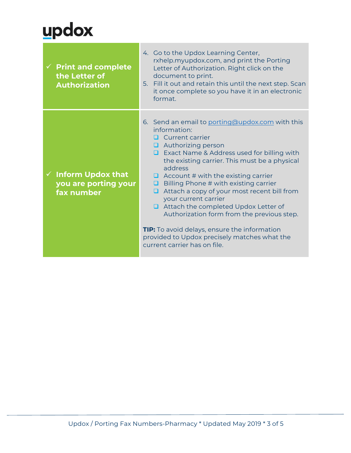| $\checkmark$ Print and complete<br>the Letter of<br><b>Authorization</b> | 4. Go to the Updox Learning Center,<br>rxhelp.myupdox.com, and print the Porting<br>Letter of Authorization. Right click on the<br>document to print.<br>5. Fill it out and retain this until the next step. Scan<br>it once complete so you have it in an electronic<br>format.                                                                                                                                                                                                                                                                                                                                          |
|--------------------------------------------------------------------------|---------------------------------------------------------------------------------------------------------------------------------------------------------------------------------------------------------------------------------------------------------------------------------------------------------------------------------------------------------------------------------------------------------------------------------------------------------------------------------------------------------------------------------------------------------------------------------------------------------------------------|
| $\checkmark$ Inform Updox that<br>you are porting your<br>fax number     | 6. Send an email to porting@updox.com with this<br>information:<br>Current carrier<br>Authorizing person<br>□ Exact Name & Address used for billing with<br>the existing carrier. This must be a physical<br>address<br>$\Box$ Account # with the existing carrier<br>Billing Phone # with existing carrier<br>◻<br>Attach a copy of your most recent bill from<br>◻<br>your current carrier<br>$\Box$ Attach the completed Updox Letter of<br>Authorization form from the previous step.<br>TIP: To avoid delays, ensure the information<br>provided to Updox precisely matches what the<br>current carrier has on file. |